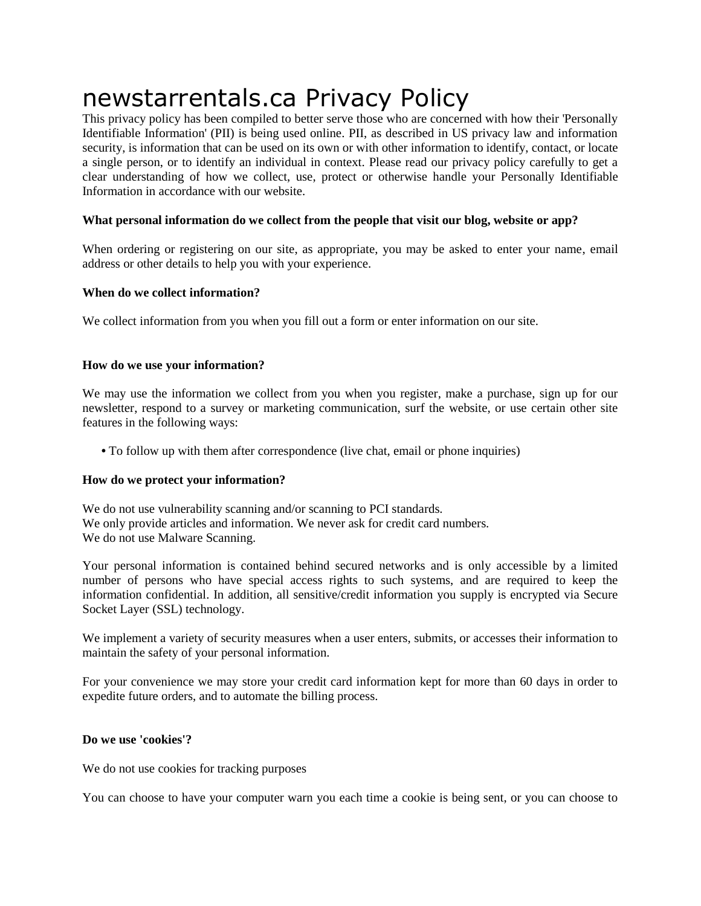# newstarrentals.ca Privacy Policy

This privacy policy has been compiled to better serve those who are concerned with how their 'Personally Identifiable Information' (PII) is being used online. PII, as described in US privacy law and information security, is information that can be used on its own or with other information to identify, contact, or locate a single person, or to identify an individual in context. Please read our privacy policy carefully to get a clear understanding of how we collect, use, protect or otherwise handle your Personally Identifiable Information in accordance with our website.

## **What personal information do we collect from the people that visit our blog, website or app?**

When ordering or registering on our site, as appropriate, you may be asked to enter your name, email address or other details to help you with your experience.

#### **When do we collect information?**

We collect information from you when you fill out a form or enter information on our site.

#### **How do we use your information?**

We may use the information we collect from you when you register, make a purchase, sign up for our newsletter, respond to a survey or marketing communication, surf the website, or use certain other site features in the following ways:

**•** To follow up with them after correspondence (live chat, email or phone inquiries)

#### **How do we protect your information?**

We do not use vulnerability scanning and/or scanning to PCI standards. We only provide articles and information. We never ask for credit card numbers. We do not use Malware Scanning.

Your personal information is contained behind secured networks and is only accessible by a limited number of persons who have special access rights to such systems, and are required to keep the information confidential. In addition, all sensitive/credit information you supply is encrypted via Secure Socket Layer (SSL) technology.

We implement a variety of security measures when a user enters, submits, or accesses their information to maintain the safety of your personal information.

For your convenience we may store your credit card information kept for more than 60 days in order to expedite future orders, and to automate the billing process.

## **Do we use 'cookies'?**

We do not use cookies for tracking purposes

You can choose to have your computer warn you each time a cookie is being sent, or you can choose to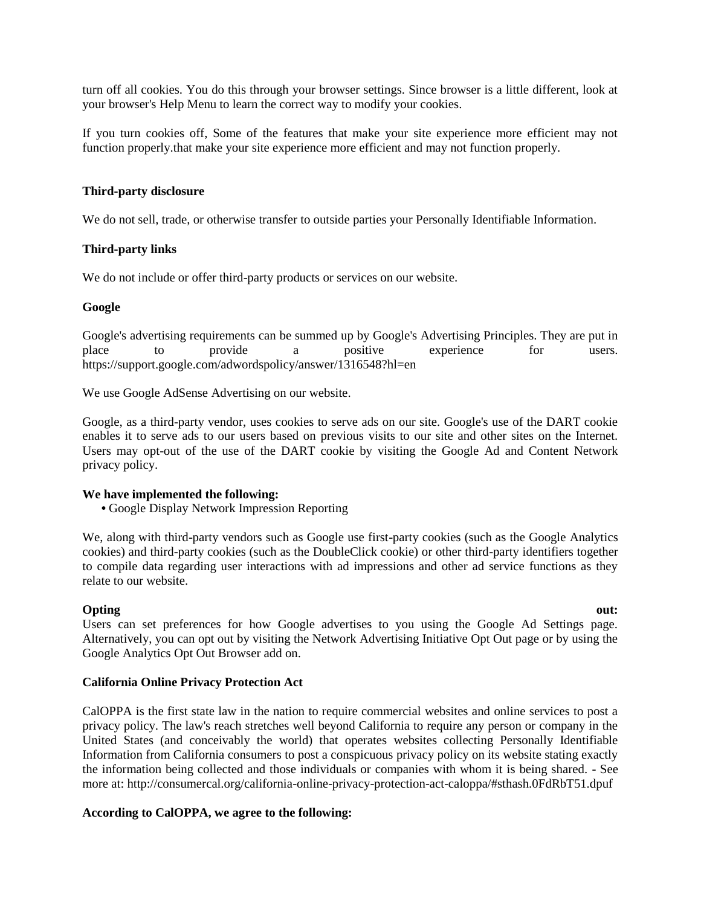turn off all cookies. You do this through your browser settings. Since browser is a little different, look at your browser's Help Menu to learn the correct way to modify your cookies.

If you turn cookies off, Some of the features that make your site experience more efficient may not function properly.that make your site experience more efficient and may not function properly.

#### **Third-party disclosure**

We do not sell, trade, or otherwise transfer to outside parties your Personally Identifiable Information.

#### **Third-party links**

We do not include or offer third-party products or services on our website.

#### **Google**

Google's advertising requirements can be summed up by Google's Advertising Principles. They are put in place to provide a positive experience for users. https://support.google.com/adwordspolicy/answer/1316548?hl=en

We use Google AdSense Advertising on our website.

Google, as a third-party vendor, uses cookies to serve ads on our site. Google's use of the DART cookie enables it to serve ads to our users based on previous visits to our site and other sites on the Internet. Users may opt-out of the use of the DART cookie by visiting the Google Ad and Content Network privacy policy.

#### **We have implemented the following:**

**•** Google Display Network Impression Reporting

We, along with third-party vendors such as Google use first-party cookies (such as the Google Analytics cookies) and third-party cookies (such as the DoubleClick cookie) or other third-party identifiers together to compile data regarding user interactions with ad impressions and other ad service functions as they relate to our website.

## **Opting the contract of the contract of the contract of the contract of the contract out:**

Users can set preferences for how Google advertises to you using the Google Ad Settings page. Alternatively, you can opt out by visiting the Network Advertising Initiative Opt Out page or by using the Google Analytics Opt Out Browser add on.

## **California Online Privacy Protection Act**

CalOPPA is the first state law in the nation to require commercial websites and online services to post a privacy policy. The law's reach stretches well beyond California to require any person or company in the United States (and conceivably the world) that operates websites collecting Personally Identifiable Information from California consumers to post a conspicuous privacy policy on its website stating exactly the information being collected and those individuals or companies with whom it is being shared. - See more at: http://consumercal.org/california-online-privacy-protection-act-caloppa/#sthash.0FdRbT51.dpuf

## **According to CalOPPA, we agree to the following:**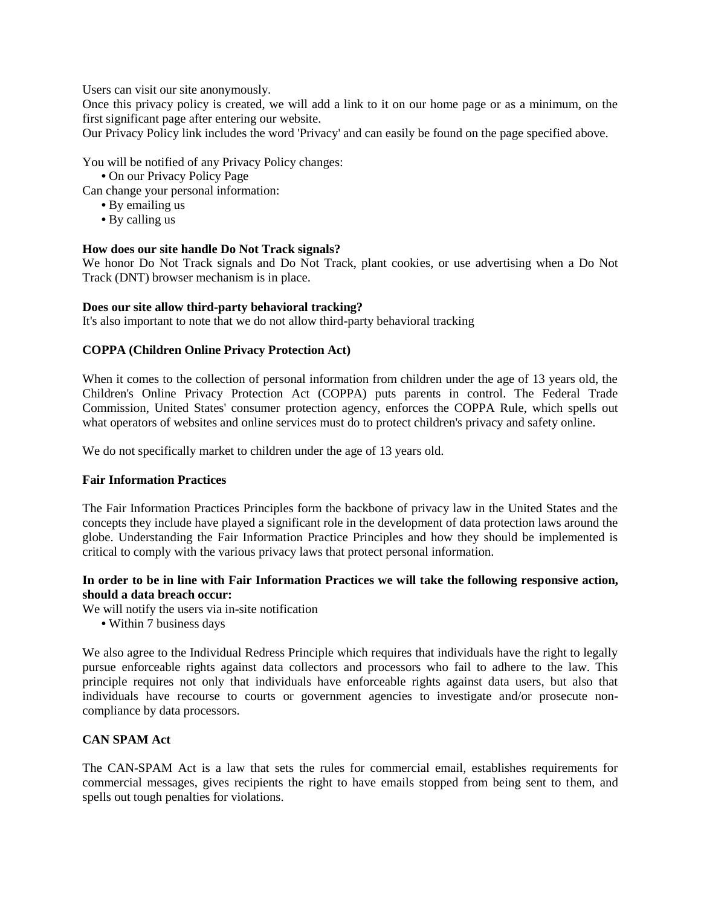Users can visit our site anonymously.

Once this privacy policy is created, we will add a link to it on our home page or as a minimum, on the first significant page after entering our website.

Our Privacy Policy link includes the word 'Privacy' and can easily be found on the page specified above.

You will be notified of any Privacy Policy changes:

**•** On our Privacy Policy Page

Can change your personal information:

- **•** By emailing us
- **•** By calling us

## **How does our site handle Do Not Track signals?**

We honor Do Not Track signals and Do Not Track, plant cookies, or use advertising when a Do Not Track (DNT) browser mechanism is in place.

## **Does our site allow third-party behavioral tracking?**

It's also important to note that we do not allow third-party behavioral tracking

# **COPPA (Children Online Privacy Protection Act)**

When it comes to the collection of personal information from children under the age of 13 years old, the Children's Online Privacy Protection Act (COPPA) puts parents in control. The Federal Trade Commission, United States' consumer protection agency, enforces the COPPA Rule, which spells out what operators of websites and online services must do to protect children's privacy and safety online.

We do not specifically market to children under the age of 13 years old.

## **Fair Information Practices**

The Fair Information Practices Principles form the backbone of privacy law in the United States and the concepts they include have played a significant role in the development of data protection laws around the globe. Understanding the Fair Information Practice Principles and how they should be implemented is critical to comply with the various privacy laws that protect personal information.

## **In order to be in line with Fair Information Practices we will take the following responsive action, should a data breach occur:**

We will notify the users via in-site notification

**•** Within 7 business days

We also agree to the Individual Redress Principle which requires that individuals have the right to legally pursue enforceable rights against data collectors and processors who fail to adhere to the law. This principle requires not only that individuals have enforceable rights against data users, but also that individuals have recourse to courts or government agencies to investigate and/or prosecute noncompliance by data processors.

## **CAN SPAM Act**

The CAN-SPAM Act is a law that sets the rules for commercial email, establishes requirements for commercial messages, gives recipients the right to have emails stopped from being sent to them, and spells out tough penalties for violations.